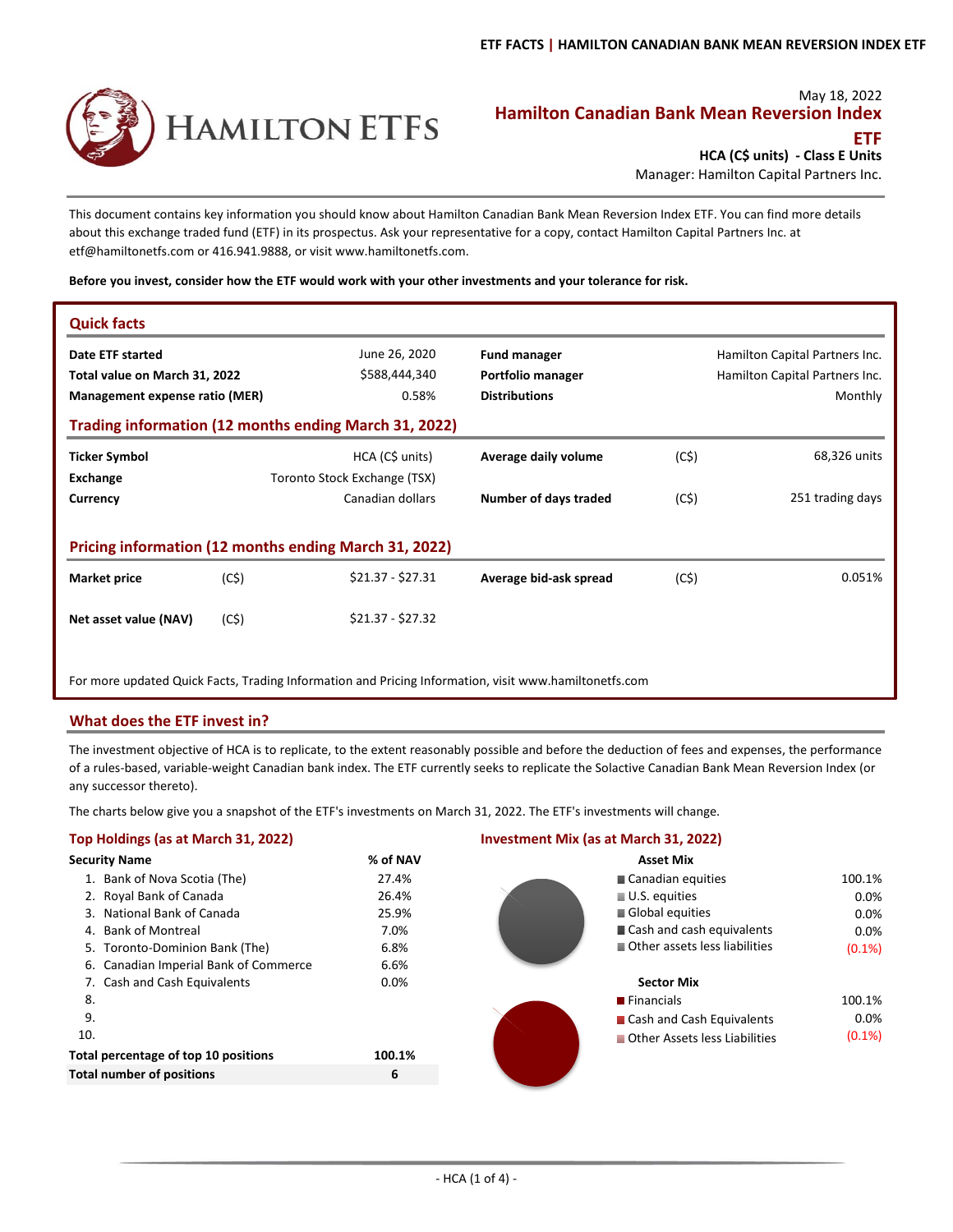

# May 18, 2022 **Hamilton Canadian Bank Mean Reversion Index ETF**

**HCA (C\$ units) ‐ Class E Units**

Manager: Hamilton Capital Partners Inc.

This document contains key information you should know about Hamilton Canadian Bank Mean Reversion Index ETF. You can find more details about this exchange traded fund (ETF) in its prospectus. Ask your representative for a copy, contact Hamilton Capital Partners Inc. at etf@hamiltonetfs.com or 416.941.9888, or visit www.hamiltonetfs.com.

**Before you invest, consider how the ETF would work with your other investments and your tolerance for risk.**

| <b>Quick facts</b>                                                                                    |      |                              |                        |      |                                |  |  |
|-------------------------------------------------------------------------------------------------------|------|------------------------------|------------------------|------|--------------------------------|--|--|
| Date ETF started                                                                                      |      | June 26, 2020                | <b>Fund manager</b>    |      | Hamilton Capital Partners Inc. |  |  |
| Total value on March 31, 2022                                                                         |      | \$588,444,340                | Portfolio manager      |      | Hamilton Capital Partners Inc. |  |  |
| Management expense ratio (MER)                                                                        |      | 0.58%                        | <b>Distributions</b>   |      | Monthly                        |  |  |
| Trading information (12 months ending March 31, 2022)                                                 |      |                              |                        |      |                                |  |  |
| <b>Ticker Symbol</b>                                                                                  |      | HCA (C\$ units)              | Average daily volume   | (C5) | 68,326 units                   |  |  |
| Exchange                                                                                              |      | Toronto Stock Exchange (TSX) |                        |      |                                |  |  |
| Currency                                                                                              |      | Canadian dollars             | Number of days traded  | (C5) | 251 trading days               |  |  |
|                                                                                                       |      |                              |                        |      |                                |  |  |
| Pricing information (12 months ending March 31, 2022)                                                 |      |                              |                        |      |                                |  |  |
| <b>Market price</b>                                                                                   | (C5) | $$21.37 - $27.31$            | Average bid-ask spread | (C5) | 0.051%                         |  |  |
| Net asset value (NAV)                                                                                 | (C5) | $$21.37 - $27.32$            |                        |      |                                |  |  |
| For more updated Quick Facts, Trading Information and Pricing Information, visit www.hamiltonetfs.com |      |                              |                        |      |                                |  |  |

# **What does the ETF invest in?**

The investment objective of HCA is to replicate, to the extent reasonably possible and before the deduction of fees and expenses, the performance of a rules‐based, variable‐weight Canadian bank index. The ETF currently seeks to replicate the Solactive Canadian Bank Mean Reversion Index (or any successor thereto).

The charts below give you a snapshot of the ETF's investments on March 31, 2022. The ETF's investments will change.

# **Top Holdings (as at March 31, 2022) Investment Mix (as at March 31, 2022)**

| <b>Security Name</b>                  | % of NAV | <b>Asset Mix</b>                           |
|---------------------------------------|----------|--------------------------------------------|
| 1. Bank of Nova Scotia (The)          | 27.4%    | ■ Canadian equities<br>100.1%              |
| 2. Royal Bank of Canada               | 26.4%    | $\blacksquare$ U.S. equities<br>0.0%       |
| 3. National Bank of Canada            | 25.9%    | Global equities<br>0.0%                    |
| 4. Bank of Montreal                   | 7.0%     | Cash and cash equivalents<br>0.0%          |
| 5. Toronto-Dominion Bank (The)        | 6.8%     | Other assets less liabilities<br>$(0.1\%)$ |
| 6. Canadian Imperial Bank of Commerce | 6.6%     |                                            |
| 7. Cash and Cash Equivalents          | $0.0\%$  | <b>Sector Mix</b>                          |
| 8.                                    |          | $\blacksquare$ Financials<br>100.1%        |
| 9.                                    |          | 0.0%<br>Cash and Cash Equivalents          |
| 10.                                   |          | $(0.1\%)$<br>Other Assets less Liabilities |
| Total percentage of top 10 positions  | 100.1%   |                                            |
| <b>Total number of positions</b>      | 6        |                                            |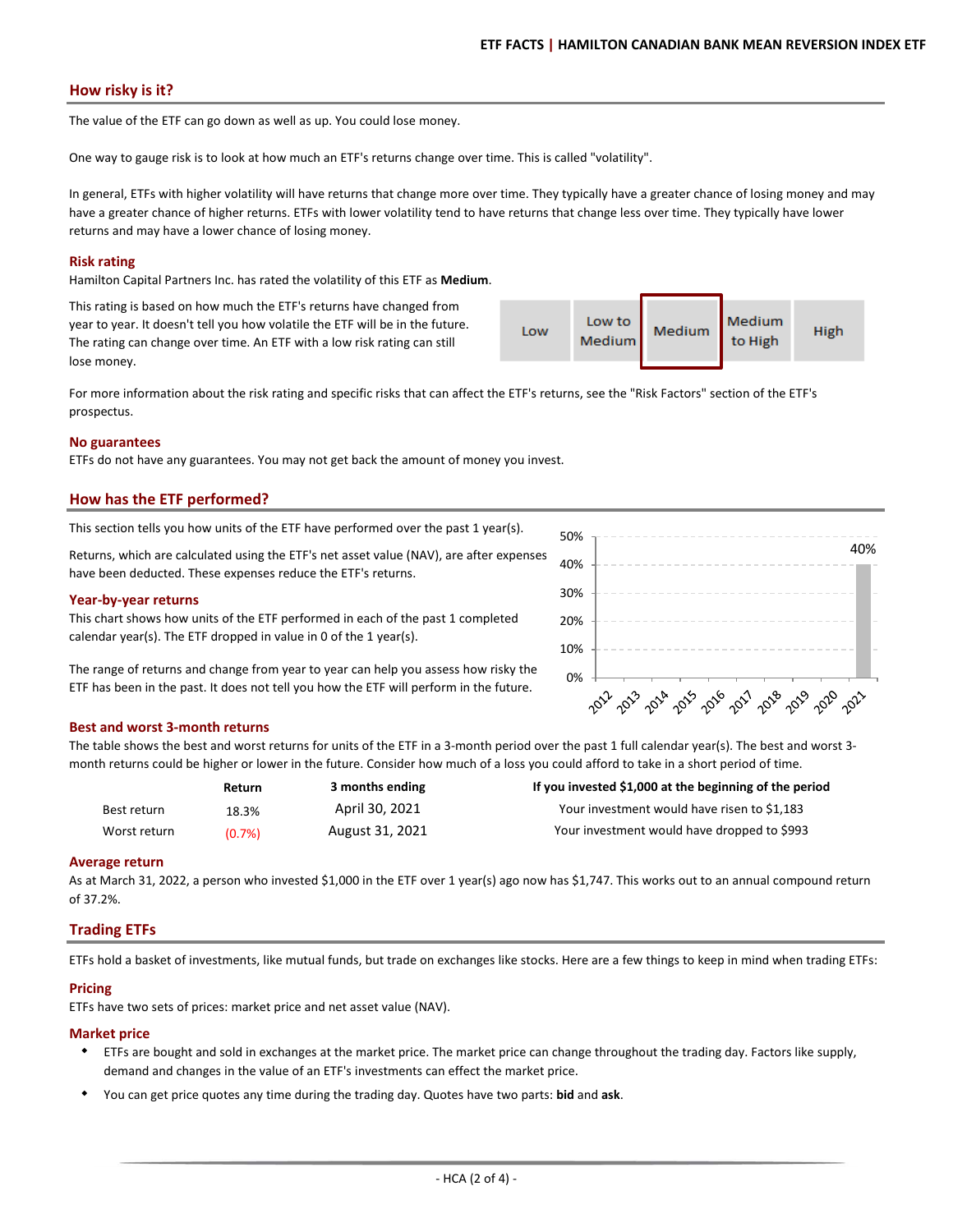# **How risky is it?**

The value of the ETF can go down as well as up. You could lose money.

One way to gauge risk is to look at how much an ETF's returns change over time. This is called "volatility".

In general, ETFs with higher volatility will have returns that change more over time. They typically have a greater chance of losing money and may have a greater chance of higher returns. ETFs with lower volatility tend to have returns that change less over time. They typically have lower returns and may have a lower chance of losing money.

#### **Risk rating**

Hamilton Capital Partners Inc. has rated the volatility of this ETF as **Medium**.

This rating is based on how much the ETF's returns have changed from year to year. It doesn't tell you how volatile the ETF will be in the future. The rating can change over time. An ETF with a low risk rating can still lose money.

|--|

50%

For more information about the risk rating and specific risks that can affect the ETF's returns, see the "Risk Factors" section of the ETF's prospectus.

#### **No guarantees**

ETFs do not have any guarantees. You may not get back the amount of money you invest.

## **How has the ETF performed?**

This section tells you how units of the ETF have performed over the past 1 year(s).

Returns, which are calculated using the ETF's net asset value (NAV), are after expenses have been deducted. These expenses reduce the ETF's returns.

#### **Year‐by‐year returns**

This chart shows how units of the ETF performed in each of the past 1 completed calendar year(s). The ETF dropped in value in 0 of the 1 year(s).

The range of returns and change from year to year can help you assess how risky the ETF has been in the past. It does not tell you how the ETF will perform in the future.

# 40% 30% 20% 10% 0% 2012-2013 2014 2016 2017 2018 2019 2010

40%

# **Best and worst 3‐month returns**

The table shows the best and worst returns for units of the ETF in a 3-month period over the past 1 full calendar year(s). The best and worst 3month returns could be higher or lower in the future. Consider how much of a loss you could afford to take in a short period of time.

|              | Return    | 3 months ending | If you invested \$1,000 at the beginning of the period |
|--------------|-----------|-----------------|--------------------------------------------------------|
| Best return  | 18.3%     | April 30, 2021  | Your investment would have risen to \$1.183            |
| Worst return | $(0.7\%)$ | August 31, 2021 | Your investment would have dropped to \$993            |

#### **Average return**

As at March 31, 2022, a person who invested \$1,000 in the ETF over 1 year(s) ago now has \$1,747. This works out to an annual compound return of 37.2%.

#### **Trading ETFs**

ETFs hold a basket of investments, like mutual funds, but trade on exchanges like stocks. Here are a few things to keep in mind when trading ETFs:

#### **Pricing**

ETFs have two sets of prices: market price and net asset value (NAV).

#### **Market price**

- ETFs are bought and sold in exchanges at the market price. The market price can change throughout the trading day. Factors like supply, demand and changes in the value of an ETF's investments can effect the market price.
- You can get price quotes any time during the trading day. Quotes have two parts: **bid** and **ask**.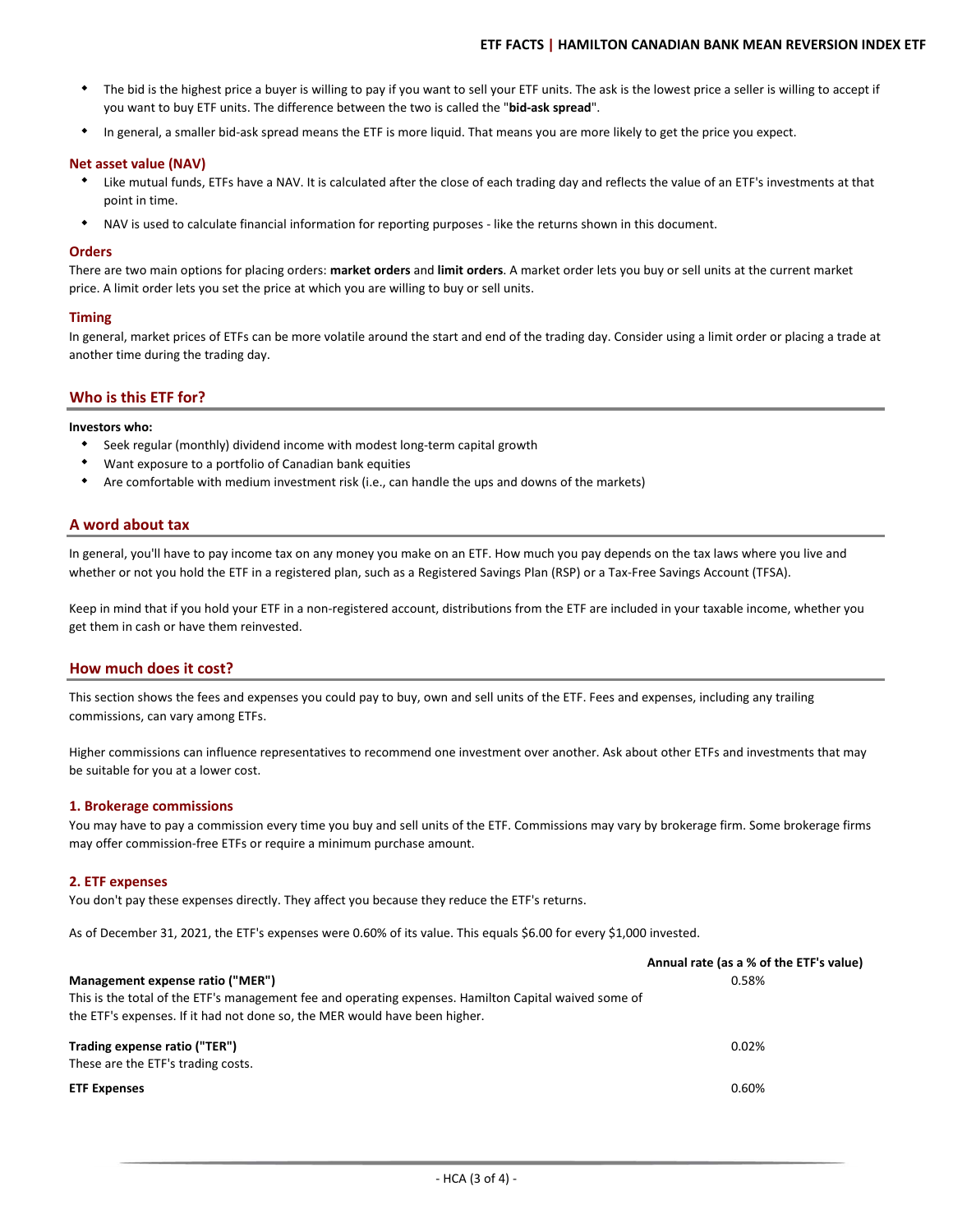- $\bullet$ The bid is the highest price a buyer is willing to pay if you want to sell your ETF units. The ask is the lowest price a seller is willing to accept if you want to buy ETF units. The difference between the two is called the "**bid‐ask spread**".
- $\bullet$ In general, a smaller bid‐ask spread means the ETF is more liquid. That means you are more likely to get the price you expect.

# **Net asset value (NAV)**

- Like mutual funds, ETFs have a NAV. It is calculated after the close of each trading day and reflects the value of an ETF's investments at that point in time.
- $\bullet$ NAV is used to calculate financial information for reporting purposes ‐ like the returns shown in this document.

## **Orders**

There are two main options for placing orders: **market orders** and **limit orders**. A market order lets you buy or sell units at the current market price. A limit order lets you set the price at which you are willing to buy or sell units.

## **Timing**

In general, market prices of ETFs can be more volatile around the start and end of the trading day. Consider using a limit order or placing a trade at another time during the trading day.

# **Who is this ETF for?**

#### **Investors who:**

- Seek regular (monthly) dividend income with modest long‐term capital growth
- Want exposure to a portfolio of Canadian bank equities
- $\bullet$ Are comfortable with medium investment risk (i.e., can handle the ups and downs of the markets)

# **A word about tax**

In general, you'll have to pay income tax on any money you make on an ETF. How much you pay depends on the tax laws where you live and whether or not you hold the ETF in a registered plan, such as a Registered Savings Plan (RSP) or a Tax-Free Savings Account (TFSA).

Keep in mind that if you hold your ETF in a non-registered account, distributions from the ETF are included in your taxable income, whether you get them in cash or have them reinvested.

## **How much does it cost?**

This section shows the fees and expenses you could pay to buy, own and sell units of the ETF. Fees and expenses, including any trailing commissions, can vary among ETFs.

Higher commissions can influence representatives to recommend one investment over another. Ask about other ETFs and investments that may be suitable for you at a lower cost.

#### **1. Brokerage commissions**

You may have to pay a commission every time you buy and sell units of the ETF. Commissions may vary by brokerage firm. Some brokerage firms may offer commission‐free ETFs or require a minimum purchase amount.

#### **2. ETF expenses**

You don't pay these expenses directly. They affect you because they reduce the ETF's returns.

As of December 31, 2021, the ETF's expenses were 0.60% of its value. This equals \$6.00 for every \$1,000 invested.

|                                                                                                       | Annual rate (as a % of the ETF's value) |
|-------------------------------------------------------------------------------------------------------|-----------------------------------------|
| Management expense ratio ("MER")                                                                      | 0.58%                                   |
| This is the total of the ETF's management fee and operating expenses. Hamilton Capital waived some of |                                         |
| the ETF's expenses. If it had not done so, the MER would have been higher.                            |                                         |
| Trading expense ratio ("TER")                                                                         | 0.02%                                   |
| These are the ETF's trading costs.                                                                    |                                         |
| <b>ETF Expenses</b>                                                                                   | 0.60%                                   |